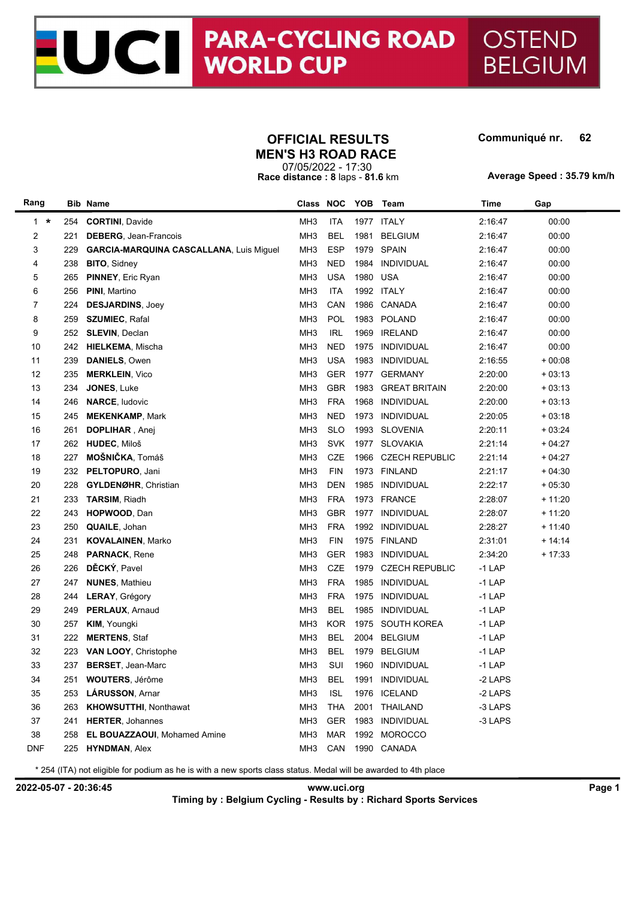# JC PARA-CYCLII **PARA-CYCLING ROAD**

## **OFFICIAL RESULTS Communiqué nr.**

#### 

OSTEND

**BELGIUM** 

07/05/2022 - 17:30 **Race distance : 8** laps - **81.6** km **MEN'S H3 ROAD RACE**

**Average Speed : 35.79 km/h**

| Rang       |     | <b>Bib Name</b>                         |                 |            |      | Class NOC YOB Team    | Time     | Gap      |
|------------|-----|-----------------------------------------|-----------------|------------|------|-----------------------|----------|----------|
| $1 \cdot$  | 254 | <b>CORTINI, Davide</b>                  | MH <sub>3</sub> | <b>ITA</b> | 1977 | <b>ITALY</b>          | 2:16:47  | 00:00    |
| 2          | 221 | <b>DEBERG, Jean-Francois</b>            | MH <sub>3</sub> | <b>BEL</b> | 1981 | <b>BELGIUM</b>        | 2:16:47  | 00:00    |
| 3          | 229 | GARCIA-MARQUINA CASCALLANA, Luis Miguel | MH <sub>3</sub> | <b>ESP</b> |      | 1979 SPAIN            | 2:16:47  | 00:00    |
| 4          | 238 | <b>BITO, Sidney</b>                     | MH <sub>3</sub> | <b>NED</b> | 1984 | INDIVIDUAL            | 2:16:47  | 00:00    |
| 5          | 265 | <b>PINNEY, Eric Ryan</b>                | MH <sub>3</sub> | <b>USA</b> | 1980 | <b>USA</b>            | 2:16:47  | 00:00    |
| 6          | 256 | PINI, Martino                           | MH <sub>3</sub> | <b>ITA</b> |      | 1992 ITALY            | 2:16:47  | 00:00    |
| 7          | 224 | <b>DESJARDINS, Joey</b>                 | MH <sub>3</sub> | CAN        | 1986 | CANADA                | 2:16:47  | 00:00    |
| 8          | 259 | <b>SZUMIEC, Rafal</b>                   | MH <sub>3</sub> | POL        | 1983 | POLAND                | 2:16:47  | 00:00    |
| 9          | 252 | <b>SLEVIN, Declan</b>                   | MH <sub>3</sub> | <b>IRL</b> | 1969 | <b>IRELAND</b>        | 2:16:47  | 00:00    |
| 10         | 242 | <b>HIELKEMA, Mischa</b>                 | MH <sub>3</sub> | <b>NED</b> | 1975 | <b>INDIVIDUAL</b>     | 2:16:47  | 00:00    |
| 11         | 239 | DANIELS, Owen                           | MH <sub>3</sub> | <b>USA</b> | 1983 | <b>INDIVIDUAL</b>     | 2:16:55  | $+00:08$ |
| 12         | 235 | <b>MERKLEIN, Vico</b>                   | MH <sub>3</sub> | GER        | 1977 | <b>GERMANY</b>        | 2:20:00  | $+03:13$ |
| 13         | 234 | JONES, Luke                             | MH <sub>3</sub> | <b>GBR</b> | 1983 | <b>GREAT BRITAIN</b>  | 2:20:00  | $+03:13$ |
| 14         | 246 | <b>NARCE, ludovic</b>                   | MH <sub>3</sub> | <b>FRA</b> | 1968 | <b>INDIVIDUAL</b>     | 2:20:00  | $+03:13$ |
| 15         | 245 | <b>MEKENKAMP, Mark</b>                  | MH <sub>3</sub> | <b>NED</b> | 1973 | <b>INDIVIDUAL</b>     | 2:20:05  | $+03:18$ |
| 16         | 261 | <b>DOPLIHAR</b> , Anej                  | MH <sub>3</sub> | <b>SLO</b> | 1993 | <b>SLOVENIA</b>       | 2:20:11  | $+03.24$ |
| 17         | 262 | HUDEC, Miloš                            | MH <sub>3</sub> | <b>SVK</b> | 1977 | <b>SLOVAKIA</b>       | 2:21:14  | $+04:27$ |
| 18         | 227 | <b>MOŠNIČKA, Tomáš</b>                  | MH <sub>3</sub> | CZE        | 1966 | <b>CZECH REPUBLIC</b> | 2:21:14  | $+04.27$ |
| 19         | 232 | PELTOPURO, Jani                         | MH <sub>3</sub> | <b>FIN</b> |      | 1973 FINLAND          | 2:21:17  | $+04:30$ |
| 20         | 228 | <b>GYLDENØHR, Christian</b>             | MH <sub>3</sub> | <b>DEN</b> | 1985 | INDIVIDUAL            | 2:22:17  | $+05:30$ |
| 21         | 233 | <b>TARSIM, Riadh</b>                    | MH <sub>3</sub> | <b>FRA</b> |      | 1973 FRANCE           | 2:28:07  | $+11.20$ |
| 22         | 243 | HOPWOOD, Dan                            | MH <sub>3</sub> | <b>GBR</b> | 1977 | <b>INDIVIDUAL</b>     | 2:28:07  | $+11:20$ |
| 23         | 250 | <b>QUAILE, Johan</b>                    | MH <sub>3</sub> | <b>FRA</b> | 1992 | <b>INDIVIDUAL</b>     | 2:28:27  | $+11:40$ |
| 24         | 231 | <b>KOVALAINEN, Marko</b>                | MH <sub>3</sub> | <b>FIN</b> | 1975 | <b>FINLAND</b>        | 2:31:01  | $+14.14$ |
| 25         | 248 | <b>PARNACK, Rene</b>                    | MH <sub>3</sub> | <b>GER</b> | 1983 | <b>INDIVIDUAL</b>     | 2:34:20  | $+17:33$ |
| 26         | 226 | DĚCKÝ, Pavel                            | MH <sub>3</sub> | CZE        | 1979 | <b>CZECH REPUBLIC</b> | $-1$ LAP |          |
| 27         | 247 | <b>NUNES, Mathieu</b>                   | MH <sub>3</sub> | <b>FRA</b> | 1985 | <b>INDIVIDUAL</b>     | -1 LAP   |          |
| 28         | 244 | <b>LERAY, Grégory</b>                   | MH <sub>3</sub> | <b>FRA</b> | 1975 | <b>INDIVIDUAL</b>     | $-1$ LAP |          |
| 29         | 249 | PERLAUX, Arnaud                         | MH <sub>3</sub> | <b>BEL</b> | 1985 | INDIVIDUAL            | $-1$ LAP |          |
| 30         | 257 | <b>KIM, Youngki</b>                     | MH <sub>3</sub> | <b>KOR</b> | 1975 | SOUTH KOREA           | $-1$ LAP |          |
| 31         | 222 | <b>MERTENS, Staf</b>                    | MH <sub>3</sub> | <b>BEL</b> | 2004 | <b>BELGIUM</b>        | $-1$ LAP |          |
| 32         | 223 | VAN LOOY, Christophe                    | MH <sub>3</sub> | <b>BEL</b> | 1979 | <b>BELGIUM</b>        | $-1$ LAP |          |
| 33         | 237 | <b>BERSET, Jean-Marc</b>                | MH <sub>3</sub> | SUI        |      | 1960 INDIVIDUAL       | $-1$ LAP |          |
| 34         | 251 | <b>WOUTERS, Jérôme</b>                  | MH <sub>3</sub> | <b>BEL</b> | 1991 | INDIVIDUAL            | -2 LAPS  |          |
| 35         | 253 | LÁRUSSON, Arnar                         | MH <sub>3</sub> | <b>ISL</b> | 1976 | <b>ICELAND</b>        | -2 LAPS  |          |
| 36         | 263 | <b>KHOWSUTTHI, Nonthawat</b>            | MH <sub>3</sub> | <b>THA</b> | 2001 | THAILAND              | -3 LAPS  |          |
| 37         | 241 | <b>HERTER, Johannes</b>                 | MH <sub>3</sub> | <b>GER</b> |      | 1983 INDIVIDUAL       | -3 LAPS  |          |
| 38         | 258 | <b>EL BOUAZZAOUI, Mohamed Amine</b>     | MH <sub>3</sub> | MAR        |      | 1992 MOROCCO          |          |          |
| <b>DNF</b> | 225 | <b>HYNDMAN, Alex</b>                    | MH <sub>3</sub> | CAN        |      | 1990 CANADA           |          |          |

\* 254 (ITA) not eligible for podium as he is with a new sports class status. Medal will be awarded to 4th place

**2022-05-07 - 20:36:45 www.uci.org Page 1 Timing by : Belgium Cycling - Results by : Richard Sports Services**